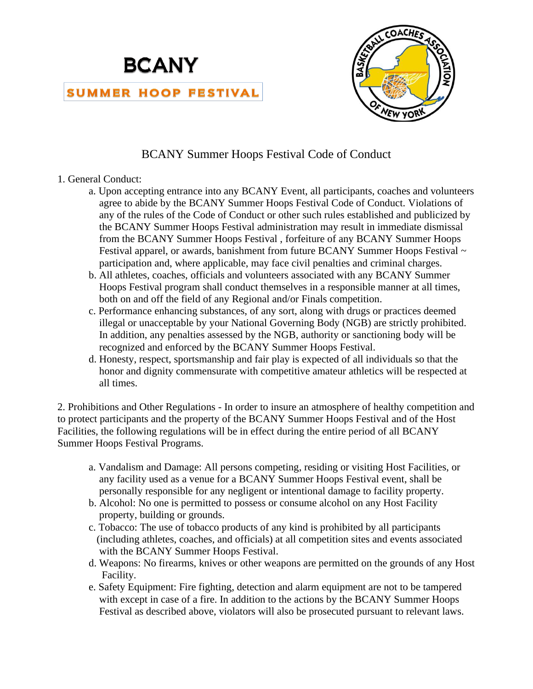## **BCANY SUMMER HOOP FESTIVAL**



## BCANY Summer Hoops Festival Code of Conduct

## 1. General Conduct:

- a. Upon accepting entrance into any BCANY Event, all participants, coaches and volunteers agree to abide by the BCANY Summer Hoops Festival Code of Conduct. Violations of any of the rules of the Code of Conduct or other such rules established and publicized by the BCANY Summer Hoops Festival administration may result in immediate dismissal from the BCANY Summer Hoops Festival , forfeiture of any BCANY Summer Hoops Festival apparel, or awards, banishment from future BCANY Summer Hoops Festival  $\sim$ participation and, where applicable, may face civil penalties and criminal charges.
- b. All athletes, coaches, officials and volunteers associated with any BCANY Summer Hoops Festival program shall conduct themselves in a responsible manner at all times, both on and off the field of any Regional and/or Finals competition.
- c. Performance enhancing substances, of any sort, along with drugs or practices deemed illegal or unacceptable by your National Governing Body (NGB) are strictly prohibited. In addition, any penalties assessed by the NGB, authority or sanctioning body will be recognized and enforced by the BCANY Summer Hoops Festival.
- d. Honesty, respect, sportsmanship and fair play is expected of all individuals so that the honor and dignity commensurate with competitive amateur athletics will be respected at all times.

2. Prohibitions and Other Regulations - In order to insure an atmosphere of healthy competition and to protect participants and the property of the BCANY Summer Hoops Festival and of the Host Facilities, the following regulations will be in effect during the entire period of all BCANY Summer Hoops Festival Programs.

- a. Vandalism and Damage: All persons competing, residing or visiting Host Facilities, or any facility used as a venue for a BCANY Summer Hoops Festival event, shall be personally responsible for any negligent or intentional damage to facility property.
- b. Alcohol: No one is permitted to possess or consume alcohol on any Host Facility property, building or grounds.
- c. Tobacco: The use of tobacco products of any kind is prohibited by all participants (including athletes, coaches, and officials) at all competition sites and events associated with the BCANY Summer Hoops Festival.
- d. Weapons: No firearms, knives or other weapons are permitted on the grounds of any Host Facility.
- e. Safety Equipment: Fire fighting, detection and alarm equipment are not to be tampered with except in case of a fire. In addition to the actions by the BCANY Summer Hoops Festival as described above, violators will also be prosecuted pursuant to relevant laws.